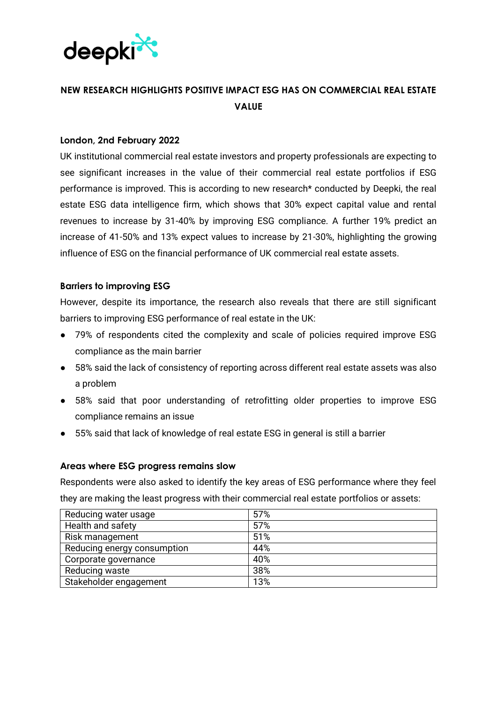

# **NEW RESEARCH HIGHLIGHTS POSITIVE IMPACT ESG HAS ON COMMERCIAL REAL ESTATE VALUE**

#### **London, 2nd February 2022**

UK institutional commercial real estate investors and property professionals are expecting to see significant increases in the value of their commercial real estate portfolios if ESG performance is improved. This is according to new research\* conducted by Deepki, the real estate ESG data intelligence firm, which shows that 30% expect capital value and rental revenues to increase by 31-40% by improving ESG compliance. A further 19% predict an increase of 41-50% and 13% expect values to increase by 21-30%, highlighting the growing influence of ESG on the financial performance of UK commercial real estate assets.

### **Barriers to improving ESG**

However, despite its importance, the research also reveals that there are still significant barriers to improving ESG performance of real estate in the UK:

- 79% of respondents cited the complexity and scale of policies required improve ESG compliance as the main barrier
- 58% said the lack of consistency of reporting across different real estate assets was also a problem
- 58% said that poor understanding of retrofitting older properties to improve ESG compliance remains an issue
- 55% said that lack of knowledge of real estate ESG in general is still a barrier

#### **Areas where ESG progress remains slow**

Respondents were also asked to identify the key areas of ESG performance where they feel they are making the least progress with their commercial real estate portfolios or assets:

| Reducing water usage        | 57% |
|-----------------------------|-----|
| Health and safety           | 57% |
| Risk management             | 51% |
| Reducing energy consumption | 44% |
| Corporate governance        | 40% |
| Reducing waste              | 38% |
| Stakeholder engagement      | 13% |